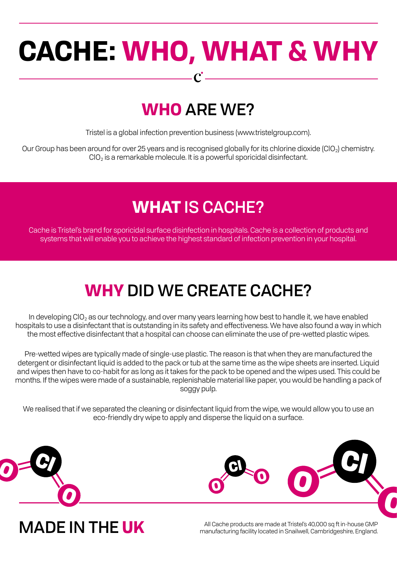# **CACHE: WHO, WHAT & WHY**

 $\boldsymbol{C}$  .

# **WHO** ARE WE?

Tristel is a global infection prevention business (www.tristelgroup.com).

Our Group has been around for over 25 years and is recognised globally for its chlorine dioxide (ClO<sub>2</sub>) chemistry. ClO2 is a remarkable molecule. It is a powerful sporicidal disinfectant.

# **WHAT** IS CACHE?

Cache is Tristel's brand for sporicidal surface disinfection in hospitals. Cache is a collection of products and systems that will enable you to achieve the highest standard of infection prevention in your hospital.

# **WHY** DID WE CREATE CACHE?

In developing  $ClO<sub>2</sub>$  as our technology, and over many years learning how best to handle it, we have enabled hospitals to use a disinfectant that is outstanding in its safety and effectiveness. We have also found a way in which the most effective disinfectant that a hospital can choose can eliminate the use of pre-wetted plastic wipes.

Pre-wetted wipes are typically made of single-use plastic. The reason is that when they are manufactured the detergent or disinfectant liquid is added to the pack or tub at the same time as the wipe sheets are inserted. Liquid and wipes then have to co-habit for as long as it takes for the pack to be opened and the wipes used. This could be months. If the wipes were made of a sustainable, replenishable material like paper, you would be handling a pack of soggy pulp.

We realised that if we separated the cleaning or disinfectant liquid from the wipe, we would allow you to use an eco-friendly dry wipe to apply and disperse the liquid on a surface.



ALL CARRE IN THE UK All Cache products are made at Tristel's 40,000 sq ft in-house GMP<br>manufacturing facility located in Snailwell, Cambridgeshire, England.